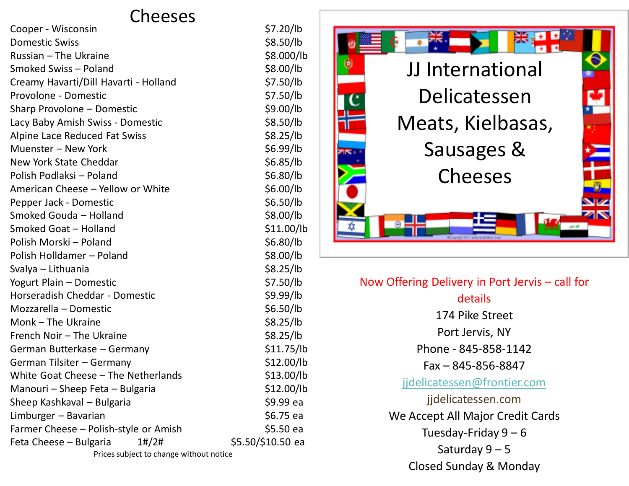## Cheeses

| Cooper - Wisconsin                       | \$7.20/lb         |
|------------------------------------------|-------------------|
| <b>Domestic Swiss</b>                    | \$8.50/lb         |
| Russian - The Ukraine                    | \$8.000/lb        |
| Smoked Swiss - Poland                    | \$8.00/lb         |
| Creamy Havarti/Dill Havarti - Holland    | \$7.50/lb         |
| Provolone - Domestic                     | \$7.50/lb         |
| Sharp Provolone - Domestic               | \$9.00/lb         |
| Lacy Baby Amish Swiss - Domestic         | \$8.50/lb         |
| Alpine Lace Reduced Fat Swiss            | \$8.25/lb         |
| Muenster - New York                      | \$6.99/lb         |
| New York State Cheddar                   | \$6.85/lb         |
| Polish Podlaksi - Poland                 | \$6.80/lb         |
| American Cheese - Yellow or White        | \$6.00/lb         |
| Pepper Jack - Domestic                   | \$6.50/lb         |
| Smoked Gouda - Holland                   | \$8.00/lb         |
| Smoked Goat - Holland                    | \$11.00/lb        |
| Polish Morski - Poland                   | \$6.80/lb         |
| Polish Holldamer - Poland                | \$8.00/lb         |
| Svalya - Lithuania                       | \$8.25/lb         |
| Yogurt Plain - Domestic                  | \$7.50/lb         |
| Horseradish Cheddar - Domestic           | \$9.99/lb         |
| Mozzarella - Domestic                    | \$6.50/lb         |
| Monk - The Ukraine                       | \$8.25/lb         |
| French Noir - The Ukraine                | \$8.25/lb         |
| German Butterkase - Germany              | \$11.75/lb        |
| German Tilsiter - Germany                | \$12.00/lb        |
| White Goat Cheese - The Netherlands      | \$13.00/lb        |
| Manouri – Sheep Feta – Bulgaria          | \$12.00/lb        |
| Sheep Kashkaval - Bulgaria               | \$9.99 ea         |
| Limburger - Bavarian                     | \$6.75 ea         |
| Farmer Cheese - Polish-style or Amish    | \$5.50 ea         |
| Feta Cheese - Bulgaria<br>$1\frac{t}{2}$ | \$5.50/\$10.50 ea |
| Drices subject to change without notice  |                   |

Prices subject to change without notice



| Now Offering Delivery in Port Jervis - call for |
|-------------------------------------------------|
| details                                         |
| 174 Pike Street                                 |
| Port Jervis, NY                                 |
| Phone - 845-858-1142                            |
| Fax - 845-856-8847                              |
| jidelicatessen@frontier.com                     |
| jidelicatessen.com                              |
| We Accept All Major Credit Cards                |
| Tuesday-Friday $9-6$                            |
| Saturday $9-5$                                  |
| Closed Sunday & Monday                          |